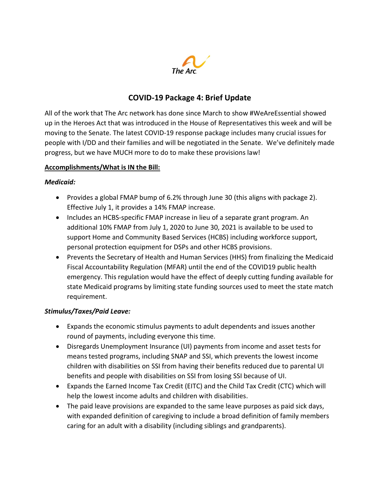

# COVID-19 Package 4: Brief Update

All of the work that The Arc network has done since March to show #WeAreEssential showed up in the Heroes Act that was introduced in the House of Representatives this week and will be moving to the Senate. The latest COVID-19 response package includes many crucial issues for people with I/DD and their families and will be negotiated in the Senate. We've definitely made progress, but we have MUCH more to do to make these provisions law!

### Accomplishments/What is IN the Bill:

#### Medicaid:

- Provides a global FMAP bump of 6.2% through June 30 (this aligns with package 2). Effective July 1, it provides a 14% FMAP increase.
- Includes an HCBS-specific FMAP increase in lieu of a separate grant program. An additional 10% FMAP from July 1, 2020 to June 30, 2021 is available to be used to support Home and Community Based Services (HCBS) including workforce support, personal protection equipment for DSPs and other HCBS provisions.
- Prevents the Secretary of Health and Human Services (HHS) from finalizing the Medicaid Fiscal Accountability Regulation (MFAR) until the end of the COVID19 public health emergency. This regulation would have the effect of deeply cutting funding available for state Medicaid programs by limiting state funding sources used to meet the state match requirement.

### Stimulus/Taxes/Paid Leave:

- Expands the economic stimulus payments to adult dependents and issues another round of payments, including everyone this time.
- Disregards Unemployment Insurance (UI) payments from income and asset tests for means tested programs, including SNAP and SSI, which prevents the lowest income children with disabilities on SSI from having their benefits reduced due to parental UI benefits and people with disabilities on SSI from losing SSI because of UI.
- Expands the Earned Income Tax Credit (EITC) and the Child Tax Credit (CTC) which will help the lowest income adults and children with disabilities.
- The paid leave provisions are expanded to the same leave purposes as paid sick days, with expanded definition of caregiving to include a broad definition of family members caring for an adult with a disability (including siblings and grandparents).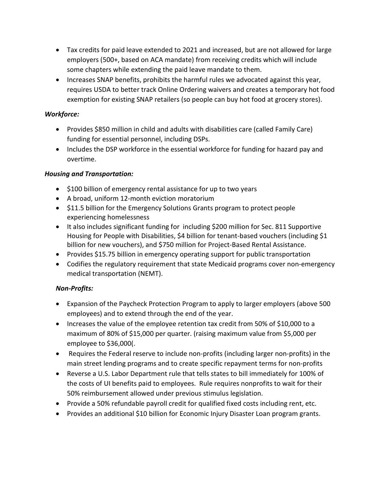- Tax credits for paid leave extended to 2021 and increased, but are not allowed for large employers (500+, based on ACA mandate) from receiving credits which will include some chapters while extending the paid leave mandate to them.
- Increases SNAP benefits, prohibits the harmful rules we advocated against this year, requires USDA to better track Online Ordering waivers and creates a temporary hot food exemption for existing SNAP retailers (so people can buy hot food at grocery stores).

# Workforce:

- Provides \$850 million in child and adults with disabilities care (called Family Care) funding for essential personnel, including DSPs.
- Includes the DSP workforce in the essential workforce for funding for hazard pay and overtime.

# Housing and Transportation:

- \$100 billion of emergency rental assistance for up to two years
- A broad, uniform 12-month eviction moratorium
- \$11.5 billion for the Emergency Solutions Grants program to protect people experiencing homelessness
- It also includes significant funding for including \$200 million for Sec. 811 Supportive Housing for People with Disabilities, \$4 billion for tenant-based vouchers (including \$1 billion for new vouchers), and \$750 million for Project-Based Rental Assistance.
- Provides \$15.75 billion in emergency operating support for public transportation
- Codifies the regulatory requirement that state Medicaid programs cover non-emergency medical transportation (NEMT).

# Non-Profits:

- Expansion of the Paycheck Protection Program to apply to larger employers (above 500 employees) and to extend through the end of the year.
- Increases the value of the employee retention tax credit from 50% of \$10,000 to a maximum of 80% of \$15,000 per quarter. (raising maximum value from \$5,000 per employee to \$36,000(.
- Requires the Federal reserve to include non-profits (including larger non-profits) in the main street lending programs and to create specific repayment terms for non-profits
- Reverse a U.S. Labor Department rule that tells states to bill immediately for 100% of the costs of UI benefits paid to employees. Rule requires nonprofits to wait for their 50% reimbursement allowed under previous stimulus legislation.
- Provide a 50% refundable payroll credit for qualified fixed costs including rent, etc.
- Provides an additional \$10 billion for Economic Injury Disaster Loan program grants.